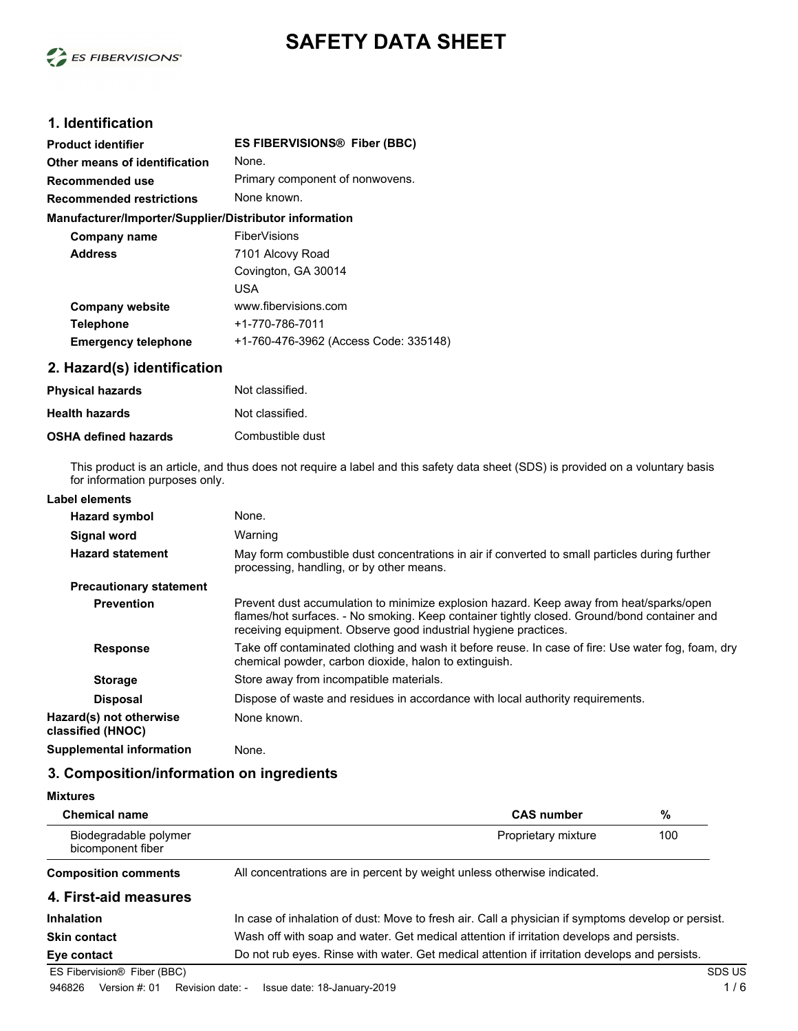

# **SAFETY DATA SHEET**

# **1. Identification**

| Product identifier                                     | <b>ES FIBERVISIONS® Fiber (BBC)</b>   |
|--------------------------------------------------------|---------------------------------------|
| Other means of identification                          | None.                                 |
| Recommended use                                        | Primary component of nonwovens.       |
| <b>Recommended restrictions</b>                        | None known.                           |
| Manufacturer/Importer/Supplier/Distributor information |                                       |
| Company name                                           | <b>FiberVisions</b>                   |
| <b>Address</b>                                         | 7101 Alcovy Road                      |
|                                                        | Covington, GA 30014                   |
|                                                        | USA                                   |
| <b>Company website</b>                                 | www.fibervisions.com                  |
| <b>Telephone</b>                                       | +1-770-786-7011                       |
| <b>Emergency telephone</b>                             | +1-760-476-3962 (Access Code: 335148) |
|                                                        |                                       |

# **2. Hazard(s) identification**

| <b>Physical hazards</b>     | Not classified.  |
|-----------------------------|------------------|
| <b>Health hazards</b>       | Not classified.  |
| <b>OSHA defined hazards</b> | Combustible dust |

This product is an article, and thus does not require a label and this safety data sheet (SDS) is provided on a voluntary basis for information purposes only.

| Label elements                               |                                                                                                                                                                                                                                                           |
|----------------------------------------------|-----------------------------------------------------------------------------------------------------------------------------------------------------------------------------------------------------------------------------------------------------------|
| Hazard symbol                                | None.                                                                                                                                                                                                                                                     |
| <b>Signal word</b>                           | Warning                                                                                                                                                                                                                                                   |
| <b>Hazard statement</b>                      | May form combustible dust concentrations in air if converted to small particles during further<br>processing, handling, or by other means.                                                                                                                |
| <b>Precautionary statement</b>               |                                                                                                                                                                                                                                                           |
| <b>Prevention</b>                            | Prevent dust accumulation to minimize explosion hazard. Keep away from heat/sparks/open<br>flames/hot surfaces. - No smoking. Keep container tightly closed. Ground/bond container and<br>receiving equipment. Observe good industrial hygiene practices. |
| <b>Response</b>                              | Take off contaminated clothing and wash it before reuse. In case of fire: Use water fog, foam, dry<br>chemical powder, carbon dioxide, halon to extinguish.                                                                                               |
| <b>Storage</b>                               | Store away from incompatible materials.                                                                                                                                                                                                                   |
| <b>Disposal</b>                              | Dispose of waste and residues in accordance with local authority requirements.                                                                                                                                                                            |
| Hazard(s) not otherwise<br>classified (HNOC) | None known.                                                                                                                                                                                                                                               |
| <b>Supplemental information</b>              | None.                                                                                                                                                                                                                                                     |

### **3. Composition/information on ingredients**

| <b>Mixtures</b>                            |                                                                                                    |        |
|--------------------------------------------|----------------------------------------------------------------------------------------------------|--------|
| <b>Chemical name</b>                       | %<br><b>CAS number</b>                                                                             |        |
| Biodegradable polymer<br>bicomponent fiber | 100<br>Proprietary mixture                                                                         |        |
| <b>Composition comments</b>                | All concentrations are in percent by weight unless otherwise indicated.                            |        |
| 4. First-aid measures                      |                                                                                                    |        |
| <b>Inhalation</b>                          | In case of inhalation of dust: Move to fresh air. Call a physician if symptoms develop or persist. |        |
| <b>Skin contact</b>                        | Wash off with soap and water. Get medical attention if irritation develops and persists.           |        |
| Eye contact                                | Do not rub eyes. Rinse with water. Get medical attention if irritation develops and persists.      |        |
| ES Fibervision <sup>®</sup> Fiber (BBC)    |                                                                                                    | SDS US |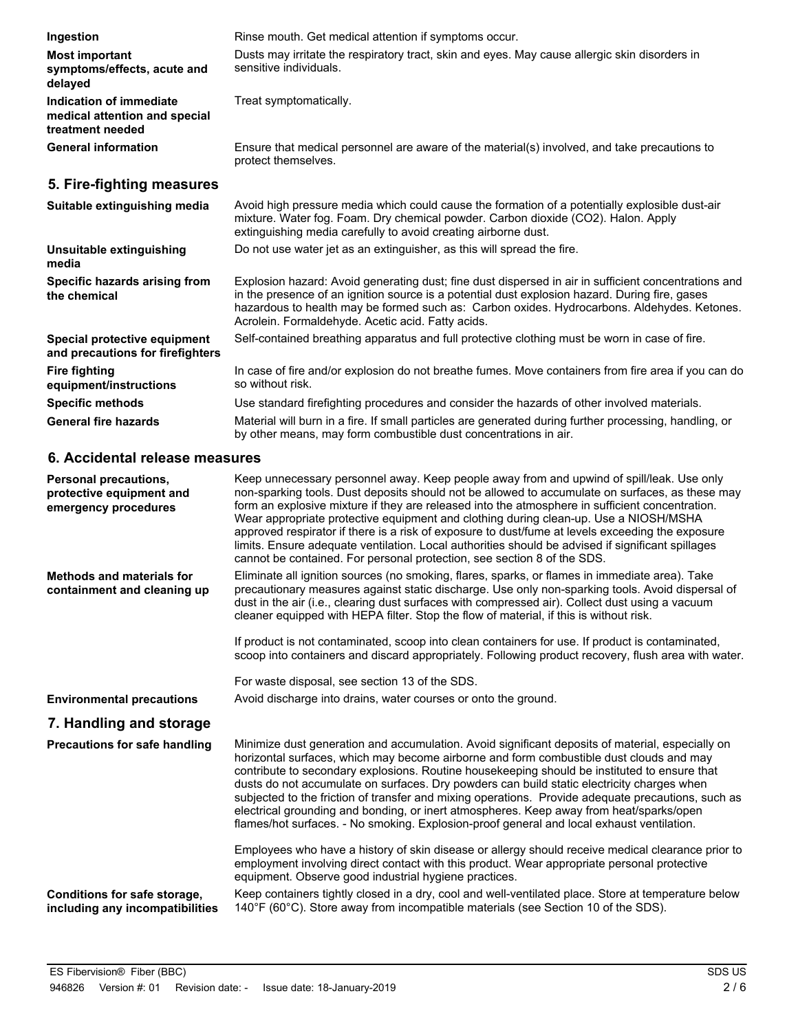| Ingestion                                                                    | Rinse mouth. Get medical attention if symptoms occur.                                                                                                                                                                                                                                                                                                                                                                                                                                                                                                                                                                                                                       |
|------------------------------------------------------------------------------|-----------------------------------------------------------------------------------------------------------------------------------------------------------------------------------------------------------------------------------------------------------------------------------------------------------------------------------------------------------------------------------------------------------------------------------------------------------------------------------------------------------------------------------------------------------------------------------------------------------------------------------------------------------------------------|
| <b>Most important</b><br>symptoms/effects, acute and<br>delayed              | Dusts may irritate the respiratory tract, skin and eyes. May cause allergic skin disorders in<br>sensitive individuals.                                                                                                                                                                                                                                                                                                                                                                                                                                                                                                                                                     |
| Indication of immediate<br>medical attention and special<br>treatment needed | Treat symptomatically.                                                                                                                                                                                                                                                                                                                                                                                                                                                                                                                                                                                                                                                      |
| <b>General information</b>                                                   | Ensure that medical personnel are aware of the material(s) involved, and take precautions to<br>protect themselves.                                                                                                                                                                                                                                                                                                                                                                                                                                                                                                                                                         |
| 5. Fire-fighting measures                                                    |                                                                                                                                                                                                                                                                                                                                                                                                                                                                                                                                                                                                                                                                             |
| Suitable extinguishing media                                                 | Avoid high pressure media which could cause the formation of a potentially explosible dust-air<br>mixture. Water fog. Foam. Dry chemical powder. Carbon dioxide (CO2). Halon. Apply<br>extinguishing media carefully to avoid creating airborne dust.                                                                                                                                                                                                                                                                                                                                                                                                                       |
| Unsuitable extinguishing<br>media                                            | Do not use water jet as an extinguisher, as this will spread the fire.                                                                                                                                                                                                                                                                                                                                                                                                                                                                                                                                                                                                      |
| Specific hazards arising from<br>the chemical                                | Explosion hazard: Avoid generating dust; fine dust dispersed in air in sufficient concentrations and<br>in the presence of an ignition source is a potential dust explosion hazard. During fire, gases<br>hazardous to health may be formed such as: Carbon oxides. Hydrocarbons. Aldehydes. Ketones.<br>Acrolein. Formaldehyde. Acetic acid. Fatty acids.                                                                                                                                                                                                                                                                                                                  |
| Special protective equipment<br>and precautions for firefighters             | Self-contained breathing apparatus and full protective clothing must be worn in case of fire.                                                                                                                                                                                                                                                                                                                                                                                                                                                                                                                                                                               |
| <b>Fire fighting</b><br>equipment/instructions                               | In case of fire and/or explosion do not breathe fumes. Move containers from fire area if you can do<br>so without risk.                                                                                                                                                                                                                                                                                                                                                                                                                                                                                                                                                     |
| <b>Specific methods</b>                                                      | Use standard firefighting procedures and consider the hazards of other involved materials.                                                                                                                                                                                                                                                                                                                                                                                                                                                                                                                                                                                  |
| <b>General fire hazards</b>                                                  | Material will burn in a fire. If small particles are generated during further processing, handling, or<br>by other means, may form combustible dust concentrations in air.                                                                                                                                                                                                                                                                                                                                                                                                                                                                                                  |
| 6. Accidental release measures                                               |                                                                                                                                                                                                                                                                                                                                                                                                                                                                                                                                                                                                                                                                             |
| Personal precautions,<br>protective equipment and<br>emergency procedures    | Keep unnecessary personnel away. Keep people away from and upwind of spill/leak. Use only<br>non-sparking tools. Dust deposits should not be allowed to accumulate on surfaces, as these may<br>form an explosive mixture if they are released into the atmosphere in sufficient concentration.<br>Wear appropriate protective equipment and clothing during clean-up. Use a NIOSH/MSHA<br>approved respirator if there is a risk of exposure to dust/fume at levels exceeding the exposure<br>limits. Ensure adequate ventilation. Local authorities should be advised if significant spillages<br>cannot be contained. For personal protection, see section 8 of the SDS. |
| <b>Methods and materials for</b>                                             | Eliminate all ignition sources (no smoking, flares, sparks, or flames in immediate area). Take                                                                                                                                                                                                                                                                                                                                                                                                                                                                                                                                                                              |

Eliminate all ignition sources (no smoking, flares, sparks, or flames in immediate area). Take precautionary measures against static discharge. Use only non-sparking tools. Avoid dispersal of dust in the air (i.e., clearing dust surfaces with compressed air). Collect dust using a vacuum cleaner equipped with HEPA filter. Stop the flow of material, if this is without risk. **containment and cleaning up**

> If product is not contaminated, scoop into clean containers for use. If product is contaminated, scoop into containers and discard appropriately. Following product recovery, flush area with water.

For waste disposal, see section 13 of the SDS.

**Environmental precautions** Avoid discharge into drains, water courses or onto the ground.

# **7. Handling and storage**

| <b>Precautions for safe handling</b>                            | Minimize dust generation and accumulation. Avoid significant deposits of material, especially on<br>horizontal surfaces, which may become airborne and form combustible dust clouds and may<br>contribute to secondary explosions. Routine house keeping should be instituted to ensure that<br>dusts do not accumulate on surfaces. Dry powders can build static electricity charges when<br>subjected to the friction of transfer and mixing operations. Provide adequate precautions, such as<br>electrical grounding and bonding, or inert atmospheres. Keep away from heat/sparks/open<br>flames/hot surfaces. - No smoking. Explosion-proof general and local exhaust ventilation. |
|-----------------------------------------------------------------|------------------------------------------------------------------------------------------------------------------------------------------------------------------------------------------------------------------------------------------------------------------------------------------------------------------------------------------------------------------------------------------------------------------------------------------------------------------------------------------------------------------------------------------------------------------------------------------------------------------------------------------------------------------------------------------|
|                                                                 | Employees who have a history of skin disease or allergy should receive medical clearance prior to<br>employment involving direct contact with this product. Wear appropriate personal protective<br>equipment. Observe good industrial hygiene practices.                                                                                                                                                                                                                                                                                                                                                                                                                                |
| Conditions for safe storage,<br>including any incompatibilities | Keep containers tightly closed in a dry, cool and well-ventilated place. Store at temperature below<br>140°F (60°C). Store away from incompatible materials (see Section 10 of the SDS).                                                                                                                                                                                                                                                                                                                                                                                                                                                                                                 |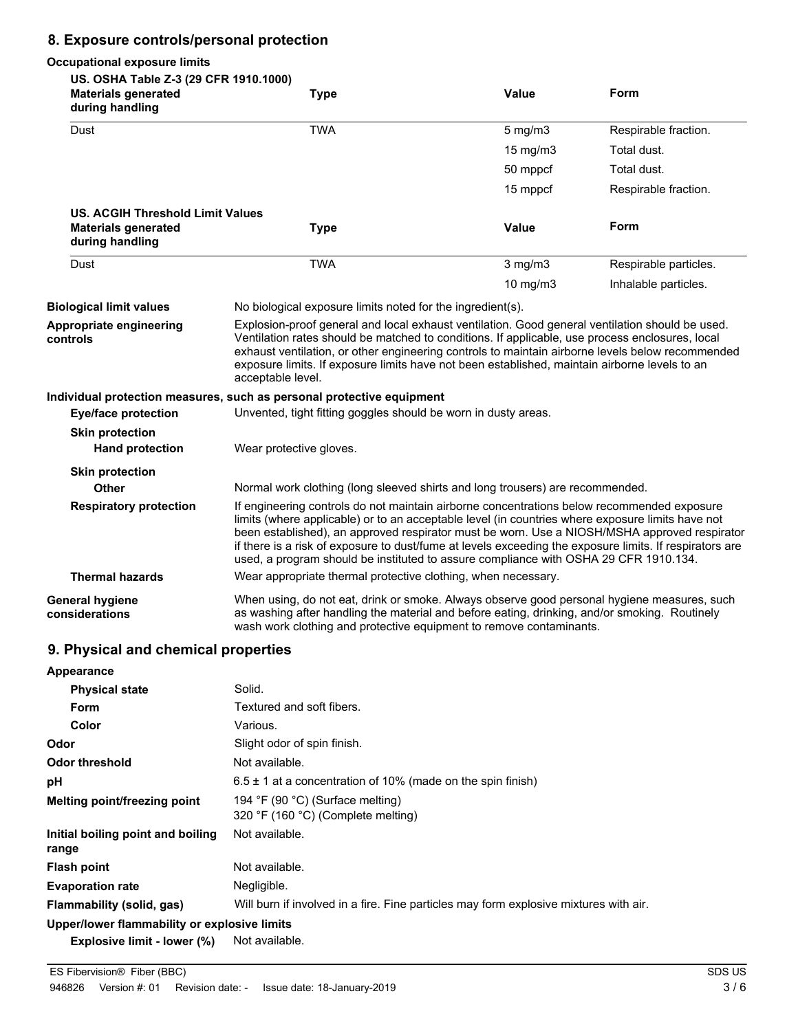## **8. Exposure controls/personal protection**

#### **Occupational exposure limits US. OSHA Table Z-3 (29 CFR 1910.1000) Materials generated Value Form during handling Type** Dust **TWA** TWA 5 mg/m3 Respirable fraction. 15 mg/m3 Total dust. 50 mppcf Total dust. 15 mppcf Respirable fraction. **US. ACGIH Threshold Limit Values Materials generated Value Form during handling Type** Dust **TWA** TWA 3 mg/m3 Respirable particles. 10 mg/m3 Inhalable particles. **Biological limit values** No biological exposure limits noted for the ingredient(s). Explosion-proof general and local exhaust ventilation. Good general ventilation should be used. Ventilation rates should be matched to conditions. If applicable, use process enclosures, local exhaust ventilation, or other engineering controls to maintain airborne levels below recommended exposure limits. If exposure limits have not been established, maintain airborne levels to an acceptable level. **Appropriate engineering controls Individual protection measures, such as personal protective equipment Eye/face protection** Unvented, tight fitting goggles should be worn in dusty areas. **Skin protection Hand protection** Wear protective gloves. **Skin protection Other** Normal work clothing (long sleeved shirts and long trousers) are recommended. If engineering controls do not maintain airborne concentrations below recommended exposure limits (where applicable) or to an acceptable level (in countries where exposure limits have not been established), an approved respirator must be worn. Use a NIOSH/MSHA approved respirator if there is a risk of exposure to dust/fume at levels exceeding the exposure limits. If respirators are used, a program should be instituted to assure compliance with OSHA 29 CFR 1910.134. **Respiratory protection Thermal hazards** Wear appropriate thermal protective clothing, when necessary. When using, do not eat, drink or smoke. Always observe good personal hygiene measures, such as washing after handling the material and before eating, drinking, and/or smoking. Routinely **General hygiene considerations**

wash work clothing and protective equipment to remove contaminants.

### **9. Physical and chemical properties**

| Appearance                                   |                                                                                       |
|----------------------------------------------|---------------------------------------------------------------------------------------|
| <b>Physical state</b>                        | Solid.                                                                                |
| <b>Form</b>                                  | Textured and soft fibers.                                                             |
| Color                                        | Various.                                                                              |
| Odor                                         | Slight odor of spin finish.                                                           |
| <b>Odor threshold</b>                        | Not available.                                                                        |
| рH                                           | $6.5 \pm 1$ at a concentration of 10% (made on the spin finish)                       |
| Melting point/freezing point                 | 194 °F (90 °C) (Surface melting)<br>320 °F (160 °C) (Complete melting)                |
| Initial boiling point and boiling<br>range   | Not available.                                                                        |
| <b>Flash point</b>                           | Not available.                                                                        |
| <b>Evaporation rate</b>                      | Negligible.                                                                           |
| Flammability (solid, gas)                    | Will burn if involved in a fire. Fine particles may form explosive mixtures with air. |
| Upper/lower flammability or explosive limits |                                                                                       |

**Explosive limit - lower (%)** Not available.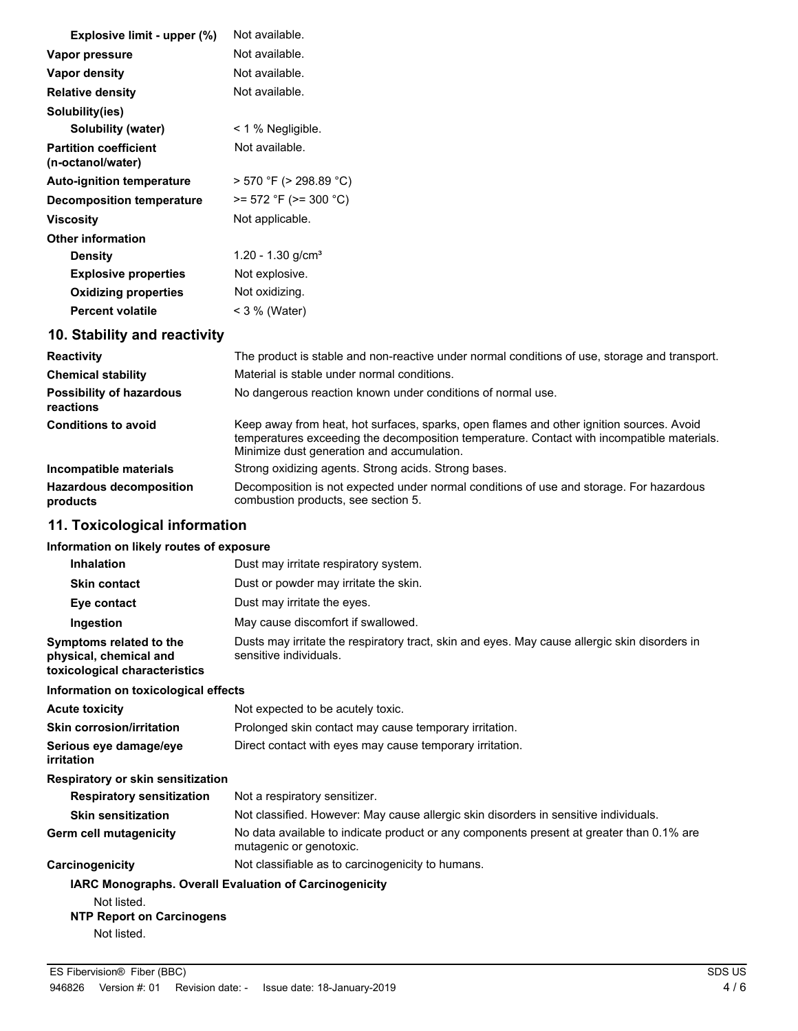| Explosive limit - upper (%)                       | Not available.                                                                              |
|---------------------------------------------------|---------------------------------------------------------------------------------------------|
| Vapor pressure                                    | Not available.                                                                              |
| Vapor density                                     | Not available.                                                                              |
| <b>Relative density</b>                           | Not available.                                                                              |
| Solubility(ies)                                   |                                                                                             |
| Solubility (water)                                | $\leq$ 1 % Negligible.                                                                      |
| <b>Partition coefficient</b><br>(n-octanol/water) | Not available.                                                                              |
| <b>Auto-ignition temperature</b>                  | $>$ 570 °F ( $>$ 298.89 °C)                                                                 |
| Decomposition temperature                         | $>= 572$ °F ( $>= 300$ °C)                                                                  |
| <b>Viscosity</b>                                  | Not applicable.                                                                             |
| <b>Other information</b>                          |                                                                                             |
| <b>Density</b>                                    | 1.20 - 1.30 $g/cm3$                                                                         |
| <b>Explosive properties</b>                       | Not explosive.                                                                              |
| <b>Oxidizing properties</b>                       | Not oxidizing.                                                                              |
| <b>Percent volatile</b>                           | $<$ 3 % (Water)                                                                             |
| 10. Stability and reactivity                      |                                                                                             |
| <b>Reactivity</b>                                 | The product is stable and non-reactive under normal conditions of use, storage and transpor |

| <b>Reactivity</b>                            | The product is stable and non-reactive under normal conditions of use, storage and transport.                                                                                                                                        |
|----------------------------------------------|--------------------------------------------------------------------------------------------------------------------------------------------------------------------------------------------------------------------------------------|
| <b>Chemical stability</b>                    | Material is stable under normal conditions.                                                                                                                                                                                          |
| <b>Possibility of hazardous</b><br>reactions | No dangerous reaction known under conditions of normal use.                                                                                                                                                                          |
| <b>Conditions to avoid</b>                   | Keep away from heat, hot surfaces, sparks, open flames and other ignition sources. Avoid<br>temperatures exceeding the decomposition temperature. Contact with incompatible materials.<br>Minimize dust generation and accumulation. |
| Incompatible materials                       | Strong oxidizing agents. Strong acids. Strong bases.                                                                                                                                                                                 |
| <b>Hazardous decomposition</b><br>products   | Decomposition is not expected under normal conditions of use and storage. For hazardous<br>combustion products, see section 5.                                                                                                       |

# **11. Toxicological information**

## **Information on likely routes of exposure**

| <b>Inhalation</b>                                                                  | Dust may irritate respiratory system.                                                                                   |
|------------------------------------------------------------------------------------|-------------------------------------------------------------------------------------------------------------------------|
| <b>Skin contact</b>                                                                | Dust or powder may irritate the skin.                                                                                   |
| Eye contact                                                                        | Dust may irritate the eyes.                                                                                             |
| Ingestion                                                                          | May cause discomfort if swallowed.                                                                                      |
| Symptoms related to the<br>physical, chemical and<br>toxicological characteristics | Dusts may irritate the respiratory tract, skin and eyes. May cause allergic skin disorders in<br>sensitive individuals. |
| Information on toxicological effects                                               |                                                                                                                         |
| Acute toxicity                                                                     | Not expected to be acutely toxic.                                                                                       |
| Skin corrosion/irritation                                                          | Prolonged skin contact may cause temporary irritation.                                                                  |
| Serious eve damage/eve<br>irritation                                               | Direct contact with eyes may cause temporary irritation.                                                                |
| Respiratory or skin sensitization                                                  |                                                                                                                         |
| <b>Respiratory sensitization</b>                                                   | Not a respiratory sensitizer.                                                                                           |
| <b>Skin sensitization</b>                                                          | Not classified. However: May cause allergic skin disorders in sensitive individuals.                                    |
| Germ cell mutagenicity                                                             | No data available to indicate product or any components present at greater than 0.1% are<br>mutagenic or genotoxic.     |
| Carcinogenicity                                                                    | Not classifiable as to carcinogenicity to humans.                                                                       |
| <b>IARC Monographs. Overall Evaluation of Carcinogenicity</b><br>Not listed.       |                                                                                                                         |

# **NTP Report on Carcinogens**

Not listed.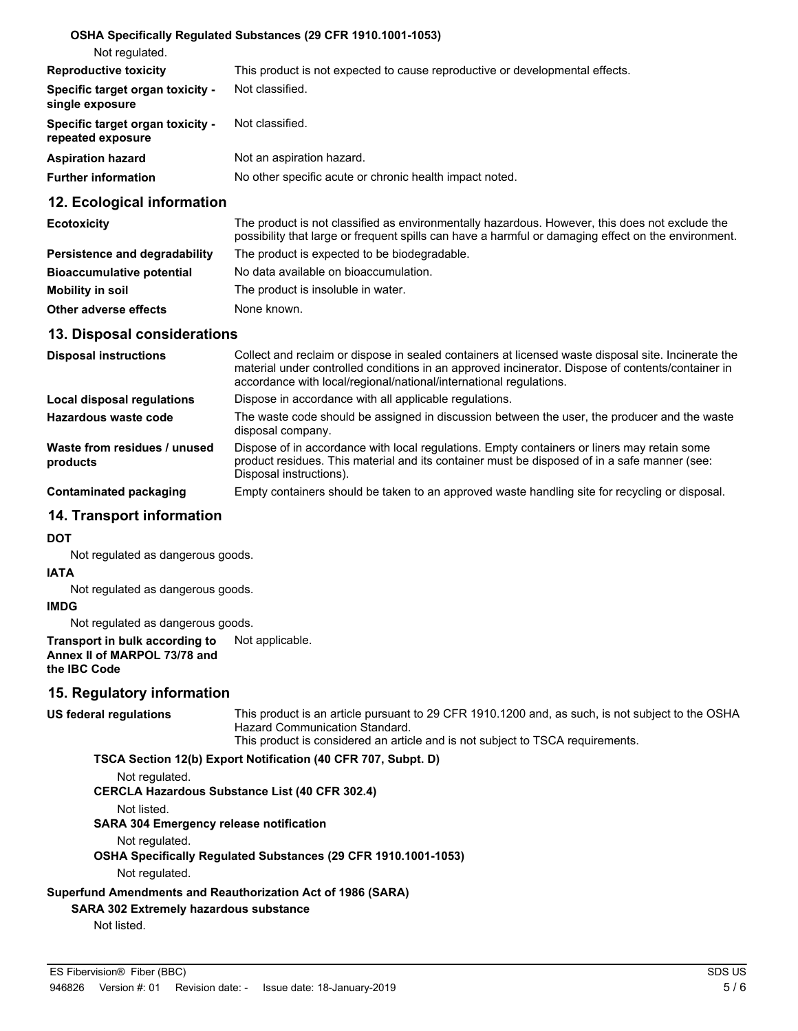#### **OSHA Specifically Regulated Substances (29 CFR 1910.1001-1053)**

| Not regulated.                                        |                                                                              |
|-------------------------------------------------------|------------------------------------------------------------------------------|
| <b>Reproductive toxicity</b>                          | This product is not expected to cause reproductive or developmental effects. |
| Specific target organ toxicity -<br>single exposure   | Not classified.                                                              |
| Specific target organ toxicity -<br>repeated exposure | Not classified.                                                              |
| <b>Aspiration hazard</b>                              | Not an aspiration hazard.                                                    |
| <b>Further information</b>                            | No other specific acute or chronic health impact noted.                      |
|                                                       |                                                                              |

#### **12. Ecological information**

| <b>Ecotoxicity</b>               | The product is not classified as environmentally hazardous. However, this does not exclude the<br>possibility that large or frequent spills can have a harmful or damaging effect on the environment. |
|----------------------------------|-------------------------------------------------------------------------------------------------------------------------------------------------------------------------------------------------------|
| Persistence and degradability    | The product is expected to be biodegradable.                                                                                                                                                          |
| <b>Bioaccumulative potential</b> | No data available on bioaccumulation.                                                                                                                                                                 |
| Mobility in soil                 | The product is insoluble in water.                                                                                                                                                                    |
| Other adverse effects            | None known.                                                                                                                                                                                           |

#### **13. Disposal considerations**

| <b>Disposal instructions</b>             | Collect and reclaim or dispose in sealed containers at licensed waste disposal site. Incinerate the<br>material under controlled conditions in an approved incinerator. Dispose of contents/container in<br>accordance with local/regional/national/international regulations. |  |
|------------------------------------------|--------------------------------------------------------------------------------------------------------------------------------------------------------------------------------------------------------------------------------------------------------------------------------|--|
| Local disposal regulations               | Dispose in accordance with all applicable regulations.                                                                                                                                                                                                                         |  |
| Hazardous waste code                     | The waste code should be assigned in discussion between the user, the producer and the waste<br>disposal company.                                                                                                                                                              |  |
| Waste from residues / unused<br>products | Dispose of in accordance with local regulations. Empty containers or liners may retain some<br>product residues. This material and its container must be disposed of in a safe manner (see:<br>Disposal instructions).                                                         |  |
| Contaminated packaging                   | Empty containers should be taken to an approved waste handling site for recycling or disposal.                                                                                                                                                                                 |  |

#### **14. Transport information**

#### **DOT**

Not regulated as dangerous goods.

#### **IATA**

Not regulated as dangerous goods.

#### **IMDG**

Not regulated as dangerous goods.

#### **Transport in bulk according to** Not applicable. **Annex II of MARPOL 73/78 and the IBC Code**

#### **15. Regulatory information**

**US federal regulations**

This product is an article pursuant to 29 CFR 1910.1200 and, as such, is not subject to the OSHA Hazard Communication Standard.

This product is considered an article and is not subject to TSCA requirements.

**TSCA Section 12(b) Export Notification (40 CFR 707, Subpt. D)**

Not regulated.

#### **CERCLA Hazardous Substance List (40 CFR 302.4)**

Not listed.

**SARA 304 Emergency release notification**

Not regulated.

**OSHA Specifically Regulated Substances (29 CFR 1910.1001-1053)**

Not regulated.

**Superfund Amendments and Reauthorization Act of 1986 (SARA)**

#### **SARA 302 Extremely hazardous substance**

Not listed.